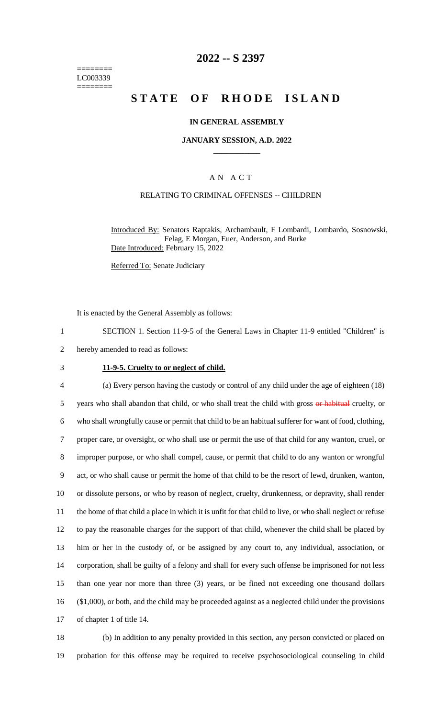======== LC003339 ========

## **2022 -- S 2397**

# **S T A T E O F R H O D E I S L A N D**

#### **IN GENERAL ASSEMBLY**

#### **JANUARY SESSION, A.D. 2022 \_\_\_\_\_\_\_\_\_\_\_\_**

### A N A C T

#### RELATING TO CRIMINAL OFFENSES -- CHILDREN

Introduced By: Senators Raptakis, Archambault, F Lombardi, Lombardo, Sosnowski, Felag, E Morgan, Euer, Anderson, and Burke Date Introduced: February 15, 2022

Referred To: Senate Judiciary

It is enacted by the General Assembly as follows:

1 SECTION 1. Section 11-9-5 of the General Laws in Chapter 11-9 entitled "Children" is

2 hereby amended to read as follows:

#### 3 **11-9-5. Cruelty to or neglect of child.**

 (a) Every person having the custody or control of any child under the age of eighteen (18) 5 years who shall abandon that child, or who shall treat the child with gross or habitual cruelty, or who shall wrongfully cause or permit that child to be an habitual sufferer for want of food, clothing, proper care, or oversight, or who shall use or permit the use of that child for any wanton, cruel, or improper purpose, or who shall compel, cause, or permit that child to do any wanton or wrongful act, or who shall cause or permit the home of that child to be the resort of lewd, drunken, wanton, or dissolute persons, or who by reason of neglect, cruelty, drunkenness, or depravity, shall render the home of that child a place in which it is unfit for that child to live, or who shall neglect or refuse to pay the reasonable charges for the support of that child, whenever the child shall be placed by him or her in the custody of, or be assigned by any court to, any individual, association, or corporation, shall be guilty of a felony and shall for every such offense be imprisoned for not less than one year nor more than three (3) years, or be fined not exceeding one thousand dollars (\$1,000), or both, and the child may be proceeded against as a neglected child under the provisions of chapter 1 of title 14.

18 (b) In addition to any penalty provided in this section, any person convicted or placed on 19 probation for this offense may be required to receive psychosociological counseling in child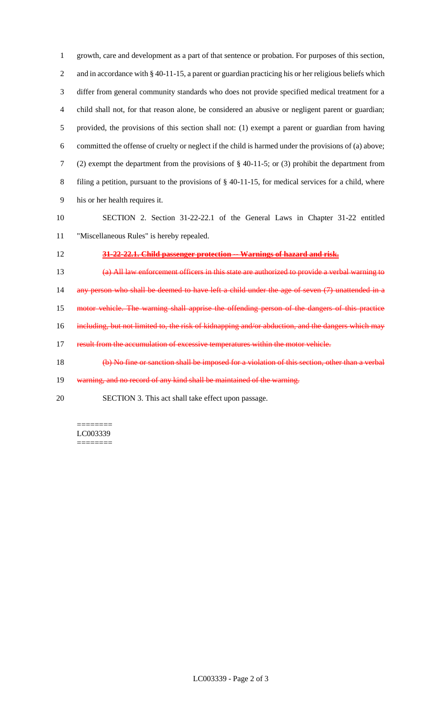growth, care and development as a part of that sentence or probation. For purposes of this section, 2 and in accordance with § 40-11-15, a parent or guardian practicing his or her religious beliefs which differ from general community standards who does not provide specified medical treatment for a child shall not, for that reason alone, be considered an abusive or negligent parent or guardian; provided, the provisions of this section shall not: (1) exempt a parent or guardian from having committed the offense of cruelty or neglect if the child is harmed under the provisions of (a) above; (2) exempt the department from the provisions of § 40-11-5; or (3) prohibit the department from filing a petition, pursuant to the provisions of § 40-11-15, for medical services for a child, where his or her health requires it.

 SECTION 2. Section 31-22-22.1 of the General Laws in Chapter 31-22 entitled "Miscellaneous Rules" is hereby repealed.

**31-22-22.1. Child passenger protection -- Warnings of hazard and risk.**

 (a) All law enforcement officers in this state are authorized to provide a verbal warning to 14 any person who shall be deemed to have left a child under the age of seven (7) unattended in a motor vehicle. The warning shall apprise the offending person of the dangers of this practice 16 including, but not limited to, the risk of kidnapping and/or abduction, and the dangers which may 17 result from the accumulation of excessive temperatures within the motor vehicle.

(b) No fine or sanction shall be imposed for a violation of this section, other than a verbal

19 warning, and no record of any kind shall be maintained of the warning.

SECTION 3. This act shall take effect upon passage.

======== LC003339 ========